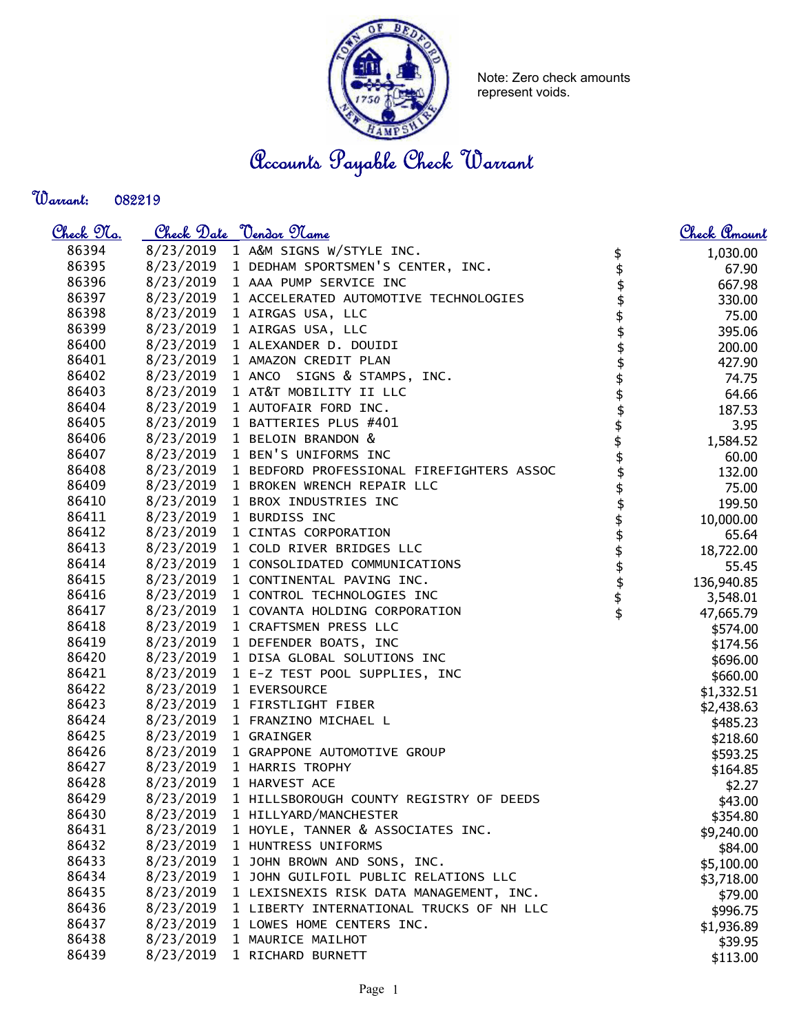

Note: Zero check amounts represent voids.

Accounts Payable Check Warrant

Warrant: 

| <u> Check 97a.</u> |           | Check Date <u>Vendor Name</u>                       |                    | <u>Check Amount</u> |
|--------------------|-----------|-----------------------------------------------------|--------------------|---------------------|
| 86394              |           | 8/23/2019 1 A&M SIGNS W/STYLE INC.                  |                    | 1,030.00            |
| 86395              |           | 8/23/2019 1 DEDHAM SPORTSMEN'S CENTER, INC.         | \$<br>\$           | 67.90               |
| 86396              |           | 8/23/2019 1 AAA PUMP SERVICE INC                    | \$                 | 667.98              |
| 86397              | 8/23/2019 | 1 ACCELERATED AUTOMOTIVE TECHNOLOGIES               | \$                 | 330.00              |
| 86398              | 8/23/2019 | 1 AIRGAS USA, LLC                                   |                    | 75.00               |
| 86399              | 8/23/2019 | 1 AIRGAS USA, LLC                                   | \$<br>\$           | 395.06              |
| 86400              | 8/23/2019 | 1 ALEXANDER D. DOUIDI                               |                    | 200.00              |
| 86401              |           | 8/23/2019 1 AMAZON CREDIT PLAN                      |                    | 427.90              |
| 86402              |           | 8/23/2019 1 ANCO SIGNS & STAMPS, INC.               |                    | 74.75               |
| 86403              | 8/23/2019 | 1 AT&T MOBILITY II LLC                              |                    | 64.66               |
| 86404              | 8/23/2019 | 1 AUTOFAIR FORD INC.                                |                    | 187.53              |
| 86405              |           | 8/23/2019 1 BATTERIES PLUS #401                     |                    | 3.95                |
| 86406              |           | 8/23/2019 1 BELOIN BRANDON &                        |                    | 1,584.52            |
| 86407              |           | 8/23/2019 1 BEN'S UNIFORMS INC                      |                    | 60.00               |
| 86408              |           | 8/23/2019 1 BEDFORD PROFESSIONAL FIREFIGHTERS ASSOC |                    | 132.00              |
| 86409              |           | 8/23/2019 1 BROKEN WRENCH REPAIR LLC                |                    | 75.00               |
| 86410              |           | 8/23/2019 1 BROX INDUSTRIES INC                     | \$\$\$\$\$\$\$\$\$ | 199.50              |
| 86411              |           | 8/23/2019 1 BURDISS INC                             |                    | 10,000.00           |
| 86412              |           | 8/23/2019 1 CINTAS CORPORATION                      | \$\$\$\$\$\$\$     | 65.64               |
| 86413              | 8/23/2019 | 1 COLD RIVER BRIDGES LLC                            |                    | 18,722.00           |
| 86414              | 8/23/2019 | 1 CONSOLIDATED COMMUNICATIONS                       |                    | 55.45               |
| 86415              | 8/23/2019 | 1 CONTINENTAL PAVING INC.                           |                    | 136,940.85          |
| 86416              | 8/23/2019 | 1 CONTROL TECHNOLOGIES INC                          |                    | 3,548.01            |
| 86417              | 8/23/2019 | 1 COVANTA HOLDING CORPORATION                       |                    | 47,665.79           |
| 86418              | 8/23/2019 | 1 CRAFTSMEN PRESS LLC                               |                    | \$574.00            |
| 86419              |           | 8/23/2019 1 DEFENDER BOATS, INC                     |                    | \$174.56            |
| 86420              |           | 8/23/2019 1 DISA GLOBAL SOLUTIONS INC               |                    | \$696.00            |
| 86421              |           | 8/23/2019 1 E-Z TEST POOL SUPPLIES, INC             |                    | \$660.00            |
| 86422              | 8/23/2019 | 1 EVERSOURCE                                        |                    | \$1,332.51          |
| 86423              | 8/23/2019 | 1 FIRSTLIGHT FIBER                                  |                    | \$2,438.63          |
| 86424              | 8/23/2019 | 1 FRANZINO MICHAEL L                                |                    | \$485.23            |
| 86425              | 8/23/2019 | 1 GRAINGER                                          |                    | \$218.60            |
| 86426              | 8/23/2019 | 1 GRAPPONE AUTOMOTIVE GROUP                         |                    | \$593.25            |
| 86427              |           | 8/23/2019 1 HARRIS TROPHY                           |                    | \$164.85            |
| 86428              |           | 8/23/2019 1 HARVEST ACE                             |                    | \$2.27              |
| 86429              | 8/23/2019 | 1 HILLSBOROUGH COUNTY REGISTRY OF DEEDS             |                    | \$43.00             |
| 86430              | 8/23/2019 | 1 HILLYARD/MANCHESTER                               |                    | \$354.80            |
| 86431              | 8/23/2019 | 1 HOYLE, TANNER & ASSOCIATES INC.                   |                    |                     |
| 86432              | 8/23/2019 | 1 HUNTRESS UNIFORMS                                 |                    | \$9,240.00          |
| 86433              | 8/23/2019 | 1 JOHN BROWN AND SONS, INC.                         |                    | \$84.00             |
| 86434              | 8/23/2019 | 1 JOHN GUILFOIL PUBLIC RELATIONS LLC                |                    | \$5,100.00          |
| 86435              | 8/23/2019 | 1 LEXISNEXIS RISK DATA MANAGEMENT, INC.             |                    | \$3,718.00          |
| 86436              | 8/23/2019 | 1 LIBERTY INTERNATIONAL TRUCKS OF NH LLC            |                    | \$79.00             |
| 86437              | 8/23/2019 | 1 LOWES HOME CENTERS INC.                           |                    | \$996.75            |
| 86438              | 8/23/2019 | 1 MAURICE MAILHOT                                   |                    | \$1,936.89          |
| 86439              | 8/23/2019 | 1 RICHARD BURNETT                                   |                    | \$39.95             |
|                    |           |                                                     |                    | \$113.00            |